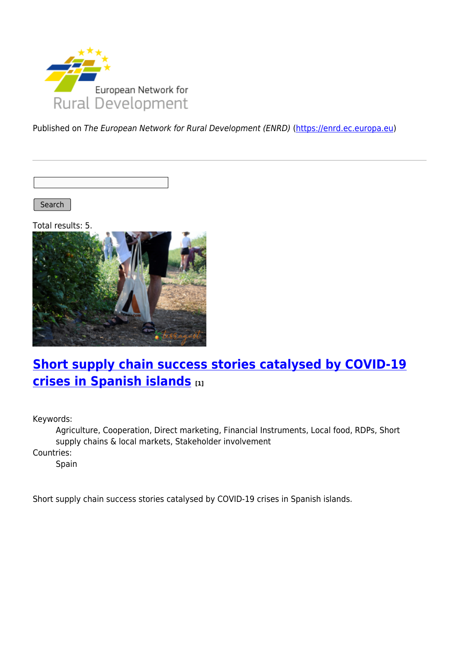

Published on The European Network for Rural Development (ENRD) [\(https://enrd.ec.europa.eu](https://enrd.ec.europa.eu))

Search

Total results: 5.



# **[Short supply chain success stories catalysed by COVID-19](https://enrd.ec.europa.eu/projects-practice/short-supply-chain-success-stories-catalysed-covid-19-crises-spanish-islands_en) [crises in Spanish islands](https://enrd.ec.europa.eu/projects-practice/short-supply-chain-success-stories-catalysed-covid-19-crises-spanish-islands_en) [1]**

Keywords:

Agriculture, Cooperation, Direct marketing, Financial Instruments, Local food, RDPs, Short supply chains & local markets, Stakeholder involvement Countries:

Spain

Short supply chain success stories catalysed by COVID-19 crises in Spanish islands.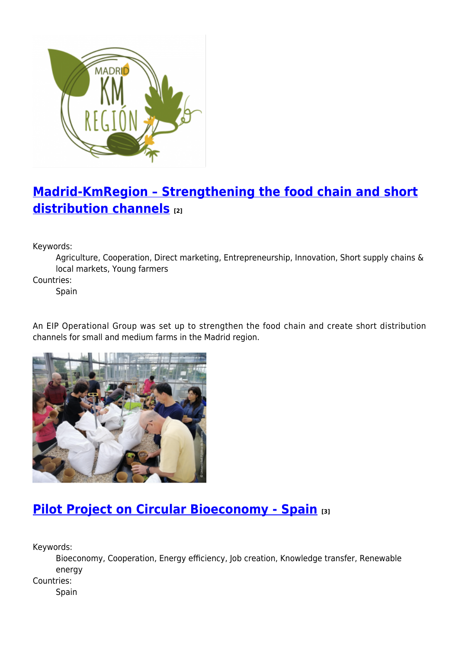

# **[Madrid-KmRegion – Strengthening the food chain and short](https://enrd.ec.europa.eu/projects-practice/madrid-kmregion-strengthening-food-chain-and-short-distribution-channels_en) [distribution channels](https://enrd.ec.europa.eu/projects-practice/madrid-kmregion-strengthening-food-chain-and-short-distribution-channels_en) [2]**

Keywords:

Agriculture, Cooperation, Direct marketing, Entrepreneurship, Innovation, Short supply chains & local markets, Young farmers

Countries:

Spain

An EIP Operational Group was set up to strengthen the food chain and create short distribution channels for small and medium farms in the Madrid region.



#### **[Pilot Project on Circular Bioeconomy - Spain](https://enrd.ec.europa.eu/projects-practice/re-thinking-management-organic-waste_en) [3]**

Keywords:

Bioeconomy, Cooperation, Energy efficiency, Job creation, Knowledge transfer, Renewable energy Countries:

Spain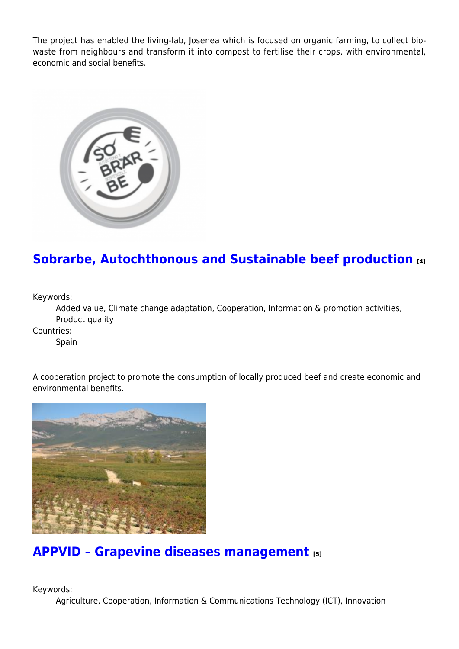The project has enabled the living-lab, Josenea which is focused on organic farming, to collect biowaste from neighbours and transform it into compost to fertilise their crops, with environmental, economic and social benefits.



# **[Sobrarbe, Autochthonous and Sustainable beef production](https://enrd.ec.europa.eu/projects-practice/sobrarbe-autochthonous-and-sustainable-beef-production_en) [4]**

Keywords:

Added value, Climate change adaptation, Cooperation, Information & promotion activities, Product quality

Countries:

**Spain** 

A cooperation project to promote the consumption of locally produced beef and create economic and environmental benefits.



#### **[APPVID – Grapevine diseases management](https://enrd.ec.europa.eu/projects-practice/appvid-grapevine-diseases-management_en) [5]**

Keywords:

Agriculture, Cooperation, Information & Communications Technology (ICT), Innovation